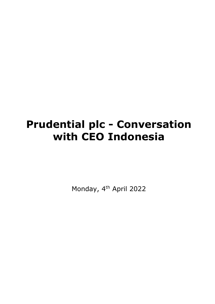# **Prudential plc - Conversation with CEO Indonesia**

Monday, 4<sup>th</sup> April 2022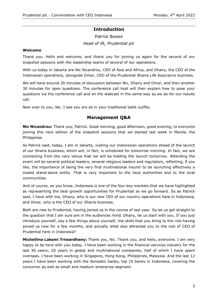## **Introduction**

Patrick Bowes *Head of IR, Prudential plc*

#### **Welcome**

Thank you. Hello and welcome, and thank you for joining us again for the second of our snapshot sessions with the leadership teams of several of our operations.

With us today in Jakarta are Nic Nicandrou, CEO of Asia and Africa, and Dhany, the CEO of the Indonesian operations, alongside Omar, CEO of the Prudential Sharia Life Assurance business.

We will have around 30 minutes of discussion between Nic, Dhany and Omar, and then another 30 minutes for open questions. The conference call host will then explain how to pose your questions via the conference call and on the webcast in the same way as we do for our results call.

Now over to you, Nic. I see you are all in your traditional batik outfits.

## **Management Q&A**

**Nic Nicandrou:** Thank you, Patrick. Good morning, good afternoon, good evening, to everyone joining this next edition of the snapshot sessions that we started last week in Manila, the Philippines.

As Patrick said, today, I am in Jakarta, visiting our Indonesian operations ahead of the launch of our Sharia business, which will, in fact, is scheduled for tomorrow morning. In fact, we are connecting from the very venue that we will be holding the launch tomorrow. Attending the event will be several political leaders, several religious leaders and regulators, reflecting, if you like, the importance of being the very first multinational insurer to be launching effectively a scaled stand-alone entity. That is very important to the local authorities and to the local communities.

And of course, as you know, Indonesia is one of the four key markets that we have highlighted as representing the best growth opportunities for Prudential as we go forward. So as Patrick said, I have with me, Dhany, who is our new CEO of our country operations here in Indonesia, and Omar, who is the CEO of our Sharia business.

Both are new to Prudential, having joined us in the course of last year. So let us get straight to the question that I am sure are in the audiences mind. Dhany, let us start with you. If you just introduce yourself, say a few things about yourself, the skills that you bring to the role having joined us now for a few months, and actually what also attracted you to the role of CEO of Prudential here in Indonesia?

**Michellina Laksmi Triwardhany:** Thank you, Nic. Thank you, and hello, everyone. I am very happy to be here with you today. I have been working in the financial services industry for the last 30 years; 20 years in global and multinational companies, half of which I have spent overseas. I have been working in Singapore, Hong Kong, Philippines, Malaysia. And the last 12 years I have been working with the domestic banks, top 10 banks in Indonesia, covering the consumer as well as small and medium enterprise segment.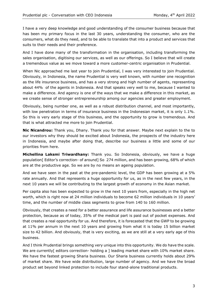I have a very deep knowledge and good understanding of the consumer business because that has been my primary focus in the last 30 years, understanding the consumer, who are the consumers, what do they need, and to be able to translate that into a product and services that suits to their needs and their preference.

And I have done many of the transformation in the organisation, including transforming the sales organisation, digitising our services, as well as our offerings. So I believe that will create a tremendous value as we move toward a more customer-centric organisation in Prudential.

When Nic approached me last year to join Prudential, I was very interested to join Prudential. Obviously, in Indonesia, the name Prudential is very well known, with number one recognition as the life insurance business, and has a very strong and high number of agents, representing about 44% of the agents in Indonesia. And that speaks very well to me, because I wanted to make a difference. And agency is one of the ways that we make a difference in this market, as we create sense of stronger entrepreneurship among our agencies and greater employment.

Obviously, being number one, as well as a robust distribution channel, and most importantly, with low penetration in terms of insurance business in the Indonesian market, it is only 1.1%. So this is very early stage of this business, and the opportunity to grow is tremendous. And that is what attracted me more to join Prudential.

**Nic Nicandrou:** Thank you, Dhany. Thank you for that answer. Maybe next explain to the to our investors why they should be excited about Indonesia, the prospects of the industry here in Indonesia, and maybe after doing that, describe our business a little and some of our priorities from here.

**Michellina Laksmi Triwardhany:** Thank you. So Indonesia, obviously, we have a huge population<sup>[</sup> Editor's correction- of around] So 274 million, and has been growing, 68% of which are at the productive age. So we are by no means an ageing population.

And we have seen in the past at the pre-pandemic level, the GDP has been growing at a 5% rate annually. And that represents a huge opportunity for us, as in the next few years, in the next 10 years we will be contributing to the largest growth of economy in the Asian market.

Per capita also has been expected to grow in the next 10 years from, especially in the high net worth, which is right now at 24 million individuals to become 62 million individuals in 10 years' time, and the number of middle class segments to grow from 140 to 160 million.

Obviously, that creates a need for a better assurance and life assurance businesses and a better protection, because as of today, 35% of the medical part is paid out of pocket expenses. And that creates a real opportunity for us. And therefore, it is forecasted that the GWP to be growing at 11% per annum in the next 10 years and growing from what it is today 15 billion market size to 42 billion. And obviously, that is very exciting, as we are still at a very early age of this business.

And I think Prudential brings something very unique into this opportunity. We do have the scale. We are currently [ editors correction- holding a ] leading market share with 10% market share. We have the fastest growing Sharia business. Our Sharia business currently holds about 29% of market share. We have wide distribution, large number of agency. And we have the broad product set beyond linked protection to include four stand-alone traditional products.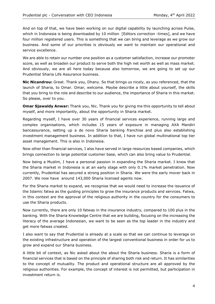And on top of that, we have been working on our digital capability by launching across Pulse, which in Indonesia is being downloaded by 10 million [Editors correction -times], and we have four million registered users. This is something that we can bring and leverage as we grow our business. And some of our priorities is obviously we want to maintain our operational and service excellence.

We are able to retain our number one position as a customer satisfaction, increase our promoter score, as well as broaden our product to serve both the high net worth as well as mass market. And obviously, we are all here today because also tomorrow, we are going to set up our Prudential Sharia Life Assurance business.

**Nic Nicandrou:** Great. Thank you, Dhany. So that brings us nicely, as you referenced, that the launch of Sharia, to Omar. Omar, welcome. Maybe describe a little about yourself, the skills that you bring to the role and describe to our audience, the importance of Sharia in this market. So please, over to you.

**Omar Sjawaldy Anwar:** Thank you, Nic. Thank you for giving me this opportunity to tell about myself, and more importantly, about the opportunity in Sharia market.

Regarding myself, I have over 30 years of financial services experience, running large and complex organisations, which includes 15 years of exposure in managing AXA Mandiri bancassurance, setting up a de novo Sharia banking franchise and plus also establishing investment management business. In addition to that, I have run global multinational top tier asset management. This is also in Indonesia.

Now other than financial services, I also have served in large resources based companies, which brings connection to large potential customer base, which can also bring value to Prudential.

Now being a Muslim, I have a personal passion in expanding the Sharia market. I knew that the Sharia market in Indonesia is at an early stage with only 0.1% market penetration. Now currently, Prudential has secured a strong position in Sharia. We were the early mover back in 2007. We now have around 143,000 Sharia licensed agents now.

For the Sharia market to expand, we recognise that we would need to increase the issuance of the Islamic fatwa as the guiding principles to grow the insurance products and services. Fatwa, in this context are the approval of the religious authority in the country for the consumers to use the Sharia products.

Now currently, there are only 10 fatwas in the insurance industry, compared to 100 plus in the banking. With the Sharia Knowledge Centre that we are building, focusing on the increasing the literacy of the average Indonesian, we want to be seen as the top leader in the industry and get more fatwas created.

I also want to say that Prudential is already at a scale so that we can continue to leverage on the existing infrastructure and operation of the largest conventional business in order for us to grow and expand our Sharia business.

A little bit of context, as Nic asked about the about the Sharia business. Sharia is a form of financial services that is based on the principle of sharing both risk and return. It has similarities to the concept of mutuality. The product and operational structure are all approved by the religious authorities. For example, the concept of interest is not permitted, but participation in investment return is.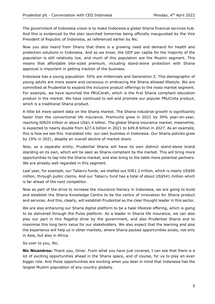The government of Indonesia vision is to make Indonesia a global Sharia financial services hub. And this is evidenced by the plan launched tomorrow being officially inaugurated by the Vice President of Republic of Indonesia, as referenced earlier by Nic.

Now you also heard from Dhany that there is a growing need and demand for health and protection solutions in Indonesia. And as we know, the GDP per capita for the majority of the population is still relatively low, and much of this population are the Muslim segment. This means that affordable bite-sized premium, including stand-alone protection with Sharia approval is important in getting traction of the business.

Indonesia has a young population. 55% are millennials and Generation Z. This demographic of young adults are more aware and conscious in embracing the Sharia allowed lifestyle. We are committed at Prudential to expand the inclusive product offerings to the mass market segment. For example, we have launched the PRUCerah, which is the first Sharia compliant education product in the market. We have continued to sell and promote our popular PRUCinta product, which is a traditional Sharia product.

A little bit more salient data on the Sharia market. The Sharia industrial growth is significantly faster than the conventional life insurance. Premiums grew in 2021 by 39% year-on-year, reaching IDR20 trillion or about US\$1.4 billion. The global Sharia insurance market, meanwhile, is expected to nearly double from \$27.6 billion in 2021 to \$49.8 billion in 2027. As an example, this is how we see this translated into our own business in Indonesia. Our Sharia policies grew by 19% in 2021, despite an overall decline of market share.

Now, as a separate entity, Prudential Sharia will have its own distinct stand-alone brand standing on its own, which will be seen as Sharia-compliant by the market. This will bring more opportunities to tap into the Sharia market, and also bring to the table more potential partners. We are already well regarded in this segment.

Last year, for example, our Tabarru funds, we shelled out IDR1.2 trillion, which is nearly US\$90 million, through public claims. And our Tabarru fund has a total of about US\$541 million which is far ahead of the next competitor.

Now as part of the drive to increase the insurance literacy in Indonesia, we are going to build and establish the Sharia Knowledge Centre to be the centre of innovation for Sharia product and services. And this, clearly, will establish Prudential as the clear thought leader in this sector.

We are also enhancing our Sharia digital platform to be a halal lifestyle offering, which is going to be delivered through the Pulse platform. As a leader in Sharia life insurance, we can also play our part in this flagship drive by the government, and also Prudential Sharia and to maximise this long term value for our stakeholders. We also expect that the learning and also the experience will help us in other markets, where Sharia packed opportunities exists, not only in Asia, but also in Africa.

So over to you, Nic.

**Nic Nicandrou:** Thank you, Omar. From what you have just covered, I can see that there is a lot of exciting opportunities ahead in the Sharia space, and of course, for us to play an even bigger role. And those opportunities are exciting when you bear in mind that Indonesia has the largest Muslim population of any country globally.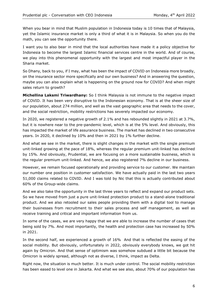When you bear in mind that Muslim population in Indonesia today is 10 times that of Malaysia, yet the Islamic insurance market is only a third of what it is in Malaysia. So when you do the math, you can see the opportunity there.

I want you to also bear in mind that the local authorities have made it a policy objective for Indonesia to become the largest Islamic financial services centre in the world. And of course, we play into this phenomenal opportunity with the largest and most impactful player in the Sharia market.

So Dhany, back to you, if I may, what has been the impact of COVID on Indonesia more broadly, on the insurance sector more specifically and our own business? And in answering the question, maybe you can also explain what is happening on the ground now for COVID? And when might sales return to growth?

**Michellina Laksmi Triwardhany:** So I think Malaysia is not immune to the negative impact of COVID. It has been very disruptive to the Indonesian economy. That is at the sheer size of our population, about 274 million, and well as the vast geographic area that needs to the cover, and the social restriction, mobility restrictions has severely impacted our economy.

In 2020, we registered a negative growth of 2.1% and has rebounded slightly in 2021 at 3.7%, but it is nowhere near to the pre-pandemic level, which is at the 5% level. And obviously, this has impacted the market of life assurance business. The market has declined in two consecutive years. In 2020, it declined by 10% and then in 2021 by 1% further decline.

And what we see in the market, there is slight changes in the market with the single premium unit-linked growing at the pace of 18%, whereas the regular premium unit-linked has declined by 15%. And obviously, Prudential, we are focusing on a more sustainable business, which is the regular premium unit-linked. And hence, we also registered 7% decline in our business.

However, we remain focused operationally and providing service to our customer. We maintain our number one position in customer satisfaction. We have actually paid in the last two years 51,000 claims related to COVID. And I was told by Nic that this is actually contributed about 60% of the Group-wide claims.

And we also take the opportunity in the last three years to reflect and expand our product sets. So we have moved from just a pure unit-linked protection product to a stand-alone traditional product. And we also retooled our sales people providing them with a digital tool to manage their businesses from recruitment to their sales process and self management, as well as receive training and critical and important information from us.

In some of the cases, we are very happy that we are able to increase the number of cases that being sold by 7%. And most importantly, the health and protection case has increased by 50% in 2021.

In the second half, we experienced a growth of 16% And that is reflected the easing of the social mobility. But obviously, unfortunately in 2022, obviously everybody knows, we got hit again by Omicron. And that sense of optimism was somehow subdued a little bit because the Omicron is widely spread, although not as diverse, I think, impact as Delta.

Right now, the situation is much better. It is much under control. The social mobility restriction has been eased to level one in Jakarta. And what we see also, about 70% of our population has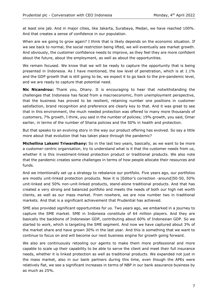at least one jab. And in major cities, like Jakarta, Surabaya, Medan, we have reached 100%. And that creates a sense of confidence in our population.

When are we going to grow again? I think that is likely depends on the economic situation. If we see back to normal, the social restriction being lifted, we will eventually see market growth. And obviously, the customer confidence needs to improve, as they feel they are more confident about the future, about the employment, as well as about the opportunities.

We remain focused. We know that we will be ready to capture the opportunity that is being presented in Indonesia. As I have mentioned, the low level of penetration, which is at 1.1% and the GDP growth that is still going to be, we expect it to go back to the pre-pandemic level, and we are ready to capture that potential need.

**Nic Nicandrou:** Thank you, Dhany. It is encouraging to hear that notwithstanding the challenges that Indonesia has faced from a macroeconomic, from unemployment perspective, that the business has proved to be resilient, retaining number one positions in customer satisfaction, brand recognition and preference are clearly key to that. And it was great to see that in this environment, the much needed protection was offered to many more thousands of customers, 7% growth, I think, you said in the number of policies; 19% growth, you said, Omar earlier, in terms of the number of Sharia policies and the 50% in health and protection.

But that speaks to an evolving story in the way our product offering has evolved. So say a little more about that evolution that has taken place through the pandemic?

**Michellina Laksmi Triwardhany:** So in the last two years, basically, as we want to be more a customer-centric organisation, try to understand what is it that the customer needs from us, whether it is this investment-linked protection product or traditional products. We also note that the pandemic creates some challenges in terms of how people allocate their resources and funds.

And we intentionally set up a strategy to rebalance our portfolio. Five years ago, our portfolios are mostly unit-linked protection products. Now it is [Editor's correction -around]50-50, 50% unit-linked and 50% non-unit-linked products, stand-alone traditional products. And that has created a very strong and balanced portfolio and meets the needs of both our high net worth clients, as well as our mass market. From nowhere, we are now number two in traditional markets. And that is a significant achievement that Prudential has achieved.

SME also provided significant opportunities for us. Two years ago, we embarked in a journey to capture the SME market. SME in Indonesia constitute of 64 million players. And they are basically the backbone of Indonesian GDP, contributing about 60% of Indonesian GDP. So we started to work, which is targeting the SME segment. And now we have captured about 3% of the market share and have grown 30% in the last year. And this is something that we want to continue to focus on and will become our next business engine for growth going forward.

We also are continuously retooling our agents to make them more professional and more capable to scale up their capability to be able to serve the client and meet their full insurance needs, whether it is linked protection as well as traditional products. We expanded not just in the mass market, also in our bank partners during this time, even though the APEs were relatively flat, we see a significant increases in terms of NBP in our bank assurance business by as much as 25%.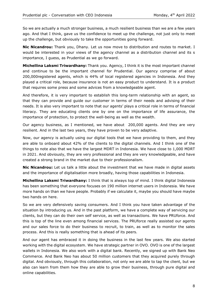So we are actually a much stronger business, a much resilient business than we are a few years ago. And that I think, gave us the confidence to meet up the challenge, not just only to meet up the challenge, but obviously to take the opportunities going forward.

**Nic Nicandrou:** Thank you, Dhany. Let us now move to distribution and routes to market. I would be interested in your views of the agency channel as a distribution channel and its s importance, I guess, as Prudential as we go forward.

**Michellina Laksmi Triwardhany:** Thank you. Agency, I think it is the most important channel and continue to be the important channel for Prudential. Our agency comprise of about 200,000registered agents, which is 44% of local registered agencies in Indonesia. And they played a critical role, because insurance is not an easy product to understand. It is a product that requires some press and some advices from a knowledgeable agent.

And therefore, it is very important to establish this long-term relationship with an agent, so that they can provide and guide our customer in terms of their needs and advising of their needs. It is also very important to note that our agents' plays a critical role in terms of financial literacy. They are educating clients one by one on the importance of life assurance, the importance of protection, to protect the well-being as well as the wealth.

Our agency business, as I mentioned, we have about 200,000 agents. And they are very resilient. And in the last two years, they have proven to be very adaptive.

Now, our agency is actually using our digital tools that we have providing to them, and they are able to onboard about 42% of the clients to the digital channels. And I think one of the things to note also that we have the largest MDRT in Indonesia. We have close to 1,000 MDRT in 2021. And obviously, they are very professional and they are very knowledgeable, and have created a strong brand in the market due to their professionalism.

**Nic Nicandrou:** Let us talk a little about the investment that we have made in digital assets and the importance of digitalisation more broadly, having those capabilities in Indonesia.

**Michellina Laksmi Triwardhany:** I think that is always top of mind. I think digital Indonesia has been something that everyone focuses on 190 million internet users in Indonesia. We have more hands on than we have people. Probably if we calculate it, maybe you should have maybe two hands on here.

So we are very defensively saving consumers. And I think you have taken advantage of the situation by introducing us. And in the past platform, we have a complete way of servicing our clients, but they can do their own self service, as well as transactions. We have PRUforce. And this is top of the line even among financial services. The PRUforce really assisted our agents and our sales force to do their business to recruit, to train, as well as to monitor the sales process. And this is really something that is ahead of its peers.

And our agent has embraced it in doing the business in the last few years. We also started working with the digital ecosystem. We have strategic partner in OVO. OVO is one of the largest wallets in Indonesia. We also work with a digital bank. Recently, we signed up with Bank Neo Commerce. And Bank Neo has about 50 million customers that they acquired purely through digital. And obviously, through this collaboration, not only we are able to tap the client, but we also can learn from them how they are able to grow their business, through pure digital and online capabilities.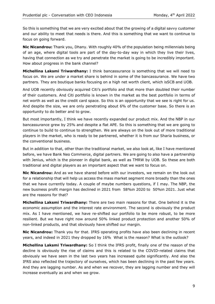So this is something that we are very excited about that the growing of a digital savvy customer and our ability to meet that needs is there. And this is something that we want to continue to focus on going forward.

**Nic Nicandrou:** Thank you, Dhany. With roughly 40% of the population being millennials being of an age, where digital tools are part of the day-to-day way in which they live their lives, having that connection as we try and penetrate the market is going to be incredibly important. How about progress in the bank channel?

**Michellina Laksmi Triwardhany:** I think bancassurance is something that we will need to focus on. We are under a market share is behind in some of the bancassurance. We have two partners. They are boutique banks focusing on a high net worth client, which isSCB and UOB.

And UOB recently obviously acquired Citi's portfolio and that more than doubled their number of their customers. And Citi portfolio is known in the market as the best portfolio in terms of net worth as well as the credit card space. So this is an opportunity that we see is right for us. And despite the size, we are only penetrating about 6% of the customer base. So there is an opportunity to do better and to grow.

But most importantly, I think we have recently expanded our product mix. And the NBP in our bancassurance grew by 25% and despite a flat APE. So this is something that we are going to continue to build to continue to strengthen. We are always on the look out of more traditional players in the market, who is ready to be partnered, whether it is from our Sharia business, or the conventional business.

But in addition to that, other than the traditional market, we also look at, like I have mentioned before, we have Bank Neo Commerce, digital partners. We are going to also have a partnership with Jenius, which is the pioneer in digital bank, as well as TMRW by UOB. So these are both traditional and digital players as an important aspect that we want to focus on.

**Nic Nicandrou:** And as we have shared before with our investors, we remain on the look out for a relationship that will help us access the mass market segment more broadly than the ones that we have currently today. A couple of maybe numbers questions, if I may. The NBP, the new business profit margin has declined in 2021 from 58%in 2020 to 50%in 2021. Just what are the reasons for that?

**Michellina Laksmi Triwardhany:** There are two main reasons for that. One behind it is the economic assumption and the interest rate environment. The second is obviously the product mix. As I have mentioned, we have re-shifted our portfolio to be more robust, to be more resilient. But we have right now around 50% linked product protection and another 50% of non-linked products, and that obviously have shifted our margin.

**Nic Nicandrou:** Thank you for that. IFRS operating profits have also been declining in recent years, and indeed in 2021 they dropped by 16% What is the reason? What is the outlook?

**Michellina Laksmi Triwardhany:** So I think the IFRS profit, finally one of the reason of the decline is obviously the rise of claims and this is related to the COVID-related claims that obviously we have seen in the last two years has increased quite significantly. And also the IFRS also reflected the trajectory of ourselves, which has been declining in the past few years. And they are lagging number. As and when we recover, they are lagging number and they will increase eventually as and when we grow.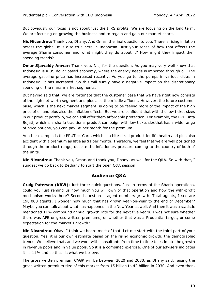But obviously our focus is not about just the IFRS profits. We are focusing on the long term. We are focusing on growing the business and to regain and gain our market share.

**Nic Nicandrou:** Thank you, Dhany. And Omar, the final question to you. There is rising inflation across the globe. It is also true here in Indonesia. Just your sense of how that affects the average Sharia consumer and what might they do about it? How might they impact their spending trends?

**Omar Sjawaldy Anwar:** Thank you, Nic, for the question. As you may very well know that Indonesia is a US dollar based economy, where the energy needs is imported through oil. The average gasoline price has increased recently. As you go to the pumps in various cities in Indonesia, it has increased. So this will surely have a negative impact on the discretionary spending of the mass market segments.

But having said that, we are fortunate that the customer base that we have right now consists of the high net worth segment and plus also the middle affluent. However, the future customer base, which is the next market segment, is going to be feeling more of the impact of the high price of oil and plus also the inflation effects. But we are confident that with the low ticket sizes in our product portfolio, we can still offer them affordable protection. For example, the PRUCinta Sejati, which is a sharia traditional product campaign with low ticket sizethat has a wide range of price options, you can pay \$8 per month for the premium.

Another example is the PRUTect Care, which is a bite-sized product for life health and plus also accident with a premium as little as \$1 per month. Therefore, we feel that we are well positioned through the product range, despite the inflationary pressure coming to the country of both of the units.

**Nic Nicandrou:** Thank you, Omar, and thank you, Dhany, as well for the Q&A. So with that, I suggest we go back to Bethany to start the open Q&A session.

### **Audience Q&A**

**Greig Paterson (KBW):** Just three quick questions. Just in terms of the Sharia operations, could you just remind us how much you will own of that operation and how the with-profit mechanism works there? Second question is agent numbers growth. Total agents, I see are 198,000 agents. I wonder how much that has grown year-on-year to the end of December? Maybe you can talk about what has happened in the New Year as well. And then it was a statistic mentioned 11% compound annual growth rate for the next five years. I was not sure whether there was APE or gross written premiums, or whether that was a Prudential target, or some expectation for the market's growth?

**Nic Nicandrou:** Okay. I think we heard most of that. Let me start with the third part of your question. Yes, it is our own estimate based on the rising economic growth, the demographic trends. We believe that, and we work with consultants from time to time to estimate the growth in revenue pools and in value pools. So it is a combined exercise. One of our advisers indicates it is 11% and so that is what we believe.

The gross written premium CAGR will be between 2020 and 2030, as Dhany said, raising the gross written premium size of this market from 15 billion to 42 billion in 2030. And even then,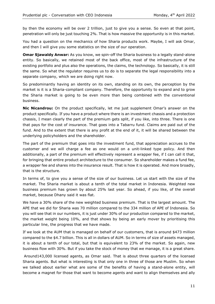by then the economy will be over 2 trillion, just to give you a sense. So even at that point, penetration will only be just touching 2%. That is how massive the opportunity is in this market.

You had a question on the mechanics of how Sharia products work. Maybe, I will ask Omar, and then I will give you some statistics on the size of our operation.

**Omar Sjawaldy Anwar:** As you know, we spin-off the Sharia business to a legally stand-alone entity. So basically, we retained most of the back office, most of the infrastructure of the existing portfolio and plus also the operations, the claims, the technology. So basically, it is still the same. So what the regulator requires us to do is to separate the legal responsibility into a separate company, which we are doing right now.

So predominantly having an identity on its own, standing on its own, the perception by the market is it is a Sharia-compliant company. Therefore, the opportunity to expand and to grow the Sharia market is going to be even more than being combined with the conventional business.

**Nic Nicandrou:** On the product specifically, let me just supplement Omar's answer on the product specifically. If you have a product where there is an investment chassis and a protection chassis, I mean clearly the part of the premium gets split, if you like, into three. There is one that pays for the cost of insurance. That goes into a Tabarru fund. Claims are paid out of the fund. And to the extent that there is any profit at the end of it, it will be shared between the underlying policyholders and the shareholder.

The part of the premium that goes into the investment fund, that appreciation accrues to the customer and we will charge a fee as one would on a unit-linked type policy. And then additionally, a part of the premium will effectively represent a wrapper fee, if I can call it that, for bringing that entire product architecture to the consumer. So shareholder makes a fund fee, a wrapper fee and shares into the insurance result. That is how it is operated. And more broadly, that is the structure.

In terms of, to give you a sense of the size of our business. Let us start with the size of the market. The Sharia market is about a tenth of the total market in Indonesia. Weighted new business premium has grown by about 25% last year. So ahead, if you like, of the overall market, because Dhany said it was flat.

We have a 30% share of the new weighted business premium. That is the largest amount. The APE that we did for Sharia was 70 million compared to the 334 million of APE of Indonesia. So you will see that in our numbers, it is just under 30% of our production compared to the market, the market weight being 10%, and that shows by being an early mover by prioritising this particular line, the progress that we have made.

If we look at the AUM that is managed on behalf of our customers, that is around \$473 million compared to the \$4.7 billion. This is all in dollars of AUM. So in terms of size of assets managed, it is about a tenth of our total, but that is equivalent to 23% of the market. So again, new business flow with 30%. But if you take the stock of money that we manage, it is a great share.

Around143,000 licensed agents, as Omar said. That is about three quarters of the licensed Sharia agents. But what is interesting is that only one in three of those are Muslim. So when we talked about earlier what are some of the benefits of having a stand-alone entity, will become a magnet for those that want to become agents and want to align themselves and ally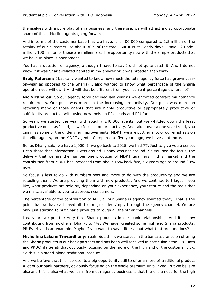themselves with a pure play Sharia business, and therefore, we will attract a disproportionate share of those Muslim agents going forward.

And in terms of the customer base that we have, it is 400,000 compared to 1.5 million of the totality of our customer, so about 30% of the total. But it is still early days. I said 220-oddmillion, 100 million of those are millennials. The opportunity now with the simple products that we have in place is phenomenal.

You had a question on agency, although I have to say I did not quite catch it. And I do not know if it was Sharia-related habited in my answer or it was broaden than that?

**Greig Paterson:** I basically wanted to know how much the total agency force had grown yearon-year as opposed to the Sharia? I also wanted to know what percentage of the Sharia operation you will own? And will that be different from your current percentage ownership?

**Nic Nicandrou:** So our agency force declined last year as we enforced contract maintenance requirements. Our push was more on the increasing productivity. Our push was more on retooling many of those agents that are highly productive or appropriately productive or sufficiently productive with using new tools on PRULeads and PRUforce.

So yeah, we started the year with roughly 240,000 agents, but we whittled down the least productive ones, as I said, as we focused on productivity. And taken over a one year trend, you can miss some of the underlying improvements. MDRT, we are putting a lot of our emphasis on the elite agents, on the MDRT agents. Compared to five years ago, we have a lot more.

So, as Dhany said, we have 1,000. If we go back to 2015, we had 77. Just to give you a sense. I can share that information. I was around. Dhany was not around. So you see the focus, the delivery that we are the number one producer of MDRT qualifiers in this market and the contribution from MDRT has increased from about 15% back five, six years ago to around 30% now.

So focus is less to do with numbers now and more to do with the productivity and we are retooling them. We are providing them with new products. And we continue to triage, if you like, what products are sold by, depending on your experience, your tenure and the tools that we make available to you to approach consumers.

The percentage of the contribution to APE, all our Sharia is agency sourced today. That is the point that we have achieved all this progress by simply through the agency channel. We are only just starting to put Sharia products through all the other channels.

Last year, we put the very first Sharia products in our bank relationships. And it is now contributing from nowhere, Dhany, to 4%. We have created some high end Sharia products. PRUWarisan is an example. Maybe if you want to say a little about what that product does?

**Michellina Laksmi Triwardhany:** Yeah. So I think we started in the bancassurance on offering the Sharia products in our bank partners and has been well received in particular is the PRUCinta and PRUCinta Sejati that obviously focusing on the more of the high end of the customer pick. So this is a stand-alone traditional product.

And we believe that this represents a big opportunity still to offer a more of traditional product A lot of our bank partners, obviously focusing on the single premium unit-linked. But we believe also and this is also what we learn from our agency business is that there is a need for the high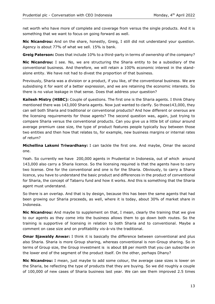net worth who have more of complete and coverage from versus the single products. And it is something that we want to focus on going forward as well.

**Nic Nicandrou:** And on the share, honestly, Greig, I still did not understand your question. Agency is about 77% of what we sell. 15% is bank.

**Greig Paterson:** Does that include 10% to a third-party in terms of ownership of the company?

**Nic Nicandrou:** I see. No, we are structuring the Sharia entity to be a subsidiary of the conventional business. And therefore, we will retain a 100% economic interest in the standalone entity. We have not had to divest the proportion of that business.

Previously, Sharia was a division or a product, if you like, of the conventional business. We are subsidising it for want of a better expression, and we are retaining the economic interests. So there is no value leakage in that sense. Does that address your question?

**Kailesh Mistry (HSBC):** Couple of questions. The first one is the Sharia agents. I think Dhany mentioned there was 143,000 Sharia agents. Now just wanted to clarify. So those143,000, they can sell both Sharia and traditional or conventional products? And how different or onerous are the licensing requirements for those agents? The second question was, again, just trying to compare Sharia versus the conventional products. Can you give us a little bit of colour around average premium case size, the type of product features people typically buy between those two entities and then how that relates to, for example, new business margins or internal rates of return?

**Michellina Laksmi Triwardhany:** I can tackle the first one. And maybe, Omar the second one.

Yeah. So currently we have 200,000 agents in Prudential in Indonesia, out of which around 143,000 also carry a Sharia licence. So the licensing required is that the agents have to carry two license. One for the conventional and one is for the Sharia. Obviously, to carry a Sharia licence, you have to understand the basic product and differences in the product of conventional for Sharia, the concept of Tabarru fund and how it works. And this is something that the Sharia agent must understand.

So there is an overlap. And that is by design, because this has been the same agents that had been growing our Sharia proceeds, as well, where it is today, about 30% of market share in Indonesia.

**Nic Nicandrou:** And maybe to supplement on that, I mean, clearly the training that we give to our agents as they come into the business allows them to go down both routes. So the training is supportive of licensing in relation to both Sharia and to conventional. Maybe a comment on case size and on profitability vis-à-vis the traditional.

**Omar Sjawaldy Anwar:** I think it is basically the difference between conventional and plus also Sharia. Sharia is more Group sharing, whereas conventional is non-Group sharing. So in terms of Group size, the Group investment is is about \$8 per month that you can subscribe on the lower end of the segment of the product itself. On the other, perhaps Dhany?

**Nic Nicandrou:** I mean, just maybe to add some colour, the average case sizes is lower on the Sharia, be reflecting the type of products that they are buying. So we did roughly a couple of 100,000 of new cases of Sharia business last year. We can see them improved 2.5 times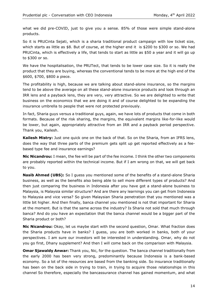what we did pre-COVID, just to give you a sense. 85% of those were simple stand-alone products.

So it is PRUCinta Sejati, which is a sharia traditional product campaign with low ticket size, which starts as little as \$8. But of course, at the higher end it is \$200 to \$300 or so. We had PRUCinta, which is effectively a life, that tends to start as little as \$50 a year and it will go up to \$300 or so.

We have the hospitalisation, the PRUTect, that tends to be lower case size. So it is really the product that they are buying, whereas the conventional tends to be more at the high end of the \$600, \$700, \$800 a piece.

The profitability is high, because we are talking about stand-alone insurance, so the margins tend to be above the average on all these stand-alone insurance products and look through an IRR lens and a payback lens, they are very, very attractive. So we are delighted to write that business on the economics that we are doing it and of course delighted to be expanding the insurance umbrella to people that were not protected previously.

In fact, Sharia guys versus a traditional guys, again, we have lots of products that come in both formats. Because of the risk sharing, the margins, the equivalent margins like-for-like would be lower, but again, appropriately attractive from an IRR and a payback period perspective. Thank you, Kailesh.

**Kailesh Mistry:** Just one quick one on the back of that. So on the Sharia, from an IFRS lens, does the way that three parts of the premium gets split up get reported effectively as a feebased type fee and insurance earnings?

**Nic Nicandrou:** I mean, the fee will be part of the fee income. I think the other two components are probably reported within the technical income. But if I am wrong on that, we will get back to you.

**Nasib Ahmed (UBS):** So I guess you mentioned some of the benefits of a stand-alone Sharia business, as well as the benefits also being able to sell more different types of products? And then just comparing the business in Indonesia after you have got a stand-alone business to Malaysia, is Malaysia similar structure? And are there any learnings you can get from Indonesia to Malaysia and vice versa? So given Malaysian Sharia penetration that you mentioned was a little bit higher. And then finally, banca channel you mentioned is not that important for Sharia at the moment. But is that the same across the industry? Is Sharia not sold that much through banca? And do you have an expectation that the banca channel would be a bigger part of the Sharia product or both?

**Nic Nicandrou:** Okay, let us maybe start with the second question, Omar. What fraction does the Sharia products have in banks? I guess, you are both worked in banks, both of your perspectives. I am sure our investors will be interested in understanding. Omar, why do not you go first, Dhany supplement? And then I will come back on the comparison with Malaysia.

**Omar Sjawaldy Anwar:** Thank you, Nic, for the question. The banca channel traditionally from the early 2000 has been very strong, predominantly because Indonesia is a bank-based economy. So a lot of the resources are based from the banking side. So insurance traditionally has been on the back side in trying to train, in trying to acquire those relationships in this channel So therefore, especially the bancassurance channel has gained momentum, and what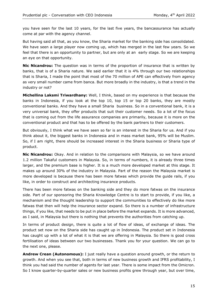you have seen for the last 10 years, for the last five years, the bancassurance has actually come at par with the agency channel.

But having said all that, as you know, the Sharia market for the banking side has consolidated. We have seen a large player now coming up, which has merged in the last few years. So we feel that there is an opportunity to partner, but are only at an early stage. So we are keeping an eye on that opportunity.

**Nic Nicandrou:** The question was in terms of the proportion of insurance that is written by banks, that is of a Sharia nature. We said earlier that it is 4% through our two relationships that is Sharia, I made the point that most of the 70 million of APE can effectively from agency as very small number came from banca. But more broadly in the industry, is that a trend in the industry or not?

**Michellina Laksmi Triwardhany:** Well, I think, based on my experience is that because the banks in Indonesia, if you look at the top 10, top 15 or top 20 banks, they are mostly conventional banks. And they have a small Sharia business. So in a conventional bank, it is a very universal bank, they offer products that suit their customer needs. So a lot of the focus that is coming out from the life assurance companies are primarily, because it is more on the conventional product and that has to be offered by the bank partners to their customers.

But obviously, I think what we have seen so far is an interest in the Sharia for us. And if you think about it, the biggest banks in Indonesia and in mass market bank, 95% will be Muslim. So, if I am right, there should be increased interest in the Sharia business or Sharia type of product.

**Nic Nicandrou:** Okay. And in relation to the comparisons with Malaysia, so we have around 1.2 million Takaful customers in Malaysia. So, in terms of numbers, it is already three times larger, and the premium base is higher. It is a much more developed market at this stage. It makes up around 30% of the industry in Malaysia. Part of the reason the Malaysia market is more developed is because there has been more fatwas which provide the guide rails, if you like, in order to construct and architecting insurance products.

There has been more fatwas on the banking side and they do more fatwas on the insurance side. Part of our sponsoring the Sharia Knowledge Centre is to start to provide, if you like, a mechanism and the thought leadership to support the communities to effectively do like more fatwas that then will help the insurance sector expand. So there is a number of infrastructure things, if you like, that needs to be put in place before the market expands. It is more advanced, as I said, in Malaysia but there is nothing that prevents the authorities from catching up.

In terms of product design, there is quite a lot of flow of ideas, of exchange of ideas. The product set now on the Sharia side has caught up in Indonesia. The product set in Indonesia has caught up with a lot of what it is that we are offering in Malaysia. So there is good cross fertilisation of ideas between our two businesses. Thank you for your question. We can go to the next one, please.

**Andrew Crean (Autonomous):** I just really have a question around growth, or the return to growth. And when you see that, both in terms of new business growth and IFRS profitability, I think you had said the number of agents for last year. There is some impact from the Omicron. So I know quarter-by-quarter sales or new business profits grew through year, but over time,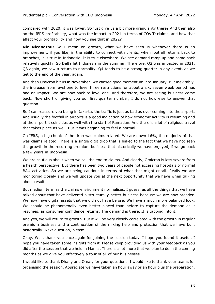compared with 2020, it was lower. So just give us a bit more granularity there? And then also on the IFRS profitability, what was the impact in 2021 in terms of COVID claims, and how that affect your profitability and how you see that in 2022?

**Nic Nicandrou:** So I mean on growth, what we have seen is whenever there is an improvement, if you like, in the ability to connect with clients, when footfall returns back to branches, it is true in Indonesia. It is true elsewhere. We see demand ramp up and come back relatively quickly. So Delta hit Indonesia in the summer. Therefore, Q2 was impacted in 2021. Q3 again, we saw a return to normality. Q4 tends to be a strong quarter in any event, as we get to the end of the year, again.

And then Omicron hit us in November. We carried good momentum into January. But inevitably, the increase from level one to level three restrictions for about a six, seven week period has had an impact. We are now back to level one. And therefore, we are seeing business come back. Now short of giving you our first quarter number, I do not how else to answer that question.

So I can reassure you being in Jakarta, the traffic is just as bad as ever coming into the airport. And usually the footfall in airports is a good indication of how economic activity is resuming and at the airport it coincides as well with the start of Ramadan. And there is a lot of religious travel that takes place as well. But it was beginning to feel a normal.

On IFRS, a big chunk of the drop was claims related. We are down 16%, the majority of that was claims related. There is a single digit drop that is linked to the fact that we have not seen the growth in the recurring premium business that historically we have enjoyed, if we go back a few years in Indonesia.

We are cautious about when we call the end to claims. And clearly, Omicron is less severe from a health perspective. But there has been two years of people not accessing hospitals of normal BAU activities. So we are being cautious in terms of what that might entail. Really we are monitoring closely and we will update you at the next opportunity that we have when talking about results.

But medium term as the claims environment normalises, I guess, as all the things that we have talked about that have delivered a structurally better business because we are now broader. We now have digital assets that we did not have before. We have a much more balanced look. We should be phenomenally even better placed than before to capture the demand as it resumes, as consumer confidence returns. The demand is there. It is tapping into it.

And yes, we will return to growth. But it will be very closely correlated with the growth in regular premium business and a continuation of the mixing help and protection that we have built historically. Next question, please.

Okay. Well, thank you once again for joining the session today. I hope you found it useful. I hope you have taken some insights from it. Please keep providing us with your feedback as you did after the session that we held in Manila. There is a lot more that we plan to do in the coming months as we give you effectively a tour of all of our businesses.

I would like to thank Dhany and Omar, for your questions. I would like to thank your teams for organising the session. Appreciate we have taken an hour away or an hour plus the preparation,